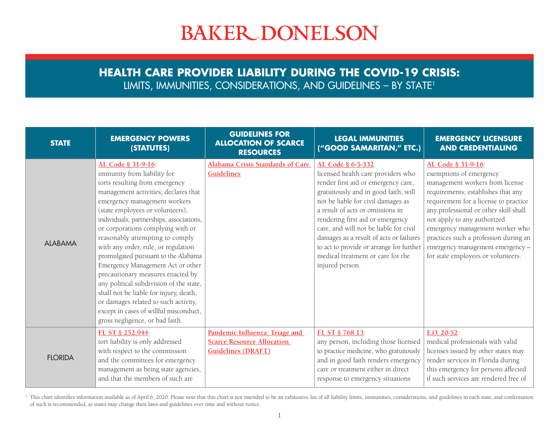## **BAKER DONELSON**

## **HEALTH CARE PROVIDER LIABILITY DURING THE COVID-19 CRISIS:**  LIMITS, IMMUNITIES, CONSIDERATIONS, AND GUIDELINES – BY STATE1

| <b>STATE</b>   | <b>EMERGENCY POWERS</b><br>(STATUTES)                                                                                                                                                                                                                                                                                                                                                                                                                                                                                                                                                                                                                                                 | <b>GUIDELINES FOR</b><br><b>ALLOCATION OF SCARCE</b><br><b>RESOURCES</b>                         | <b>LEGAL IMMUNITIES</b><br>("GOOD SAMARITAN," ETC.)                                                                                                                                                                                                                                                                                                                                                                                            | <b>EMERGENCY LICENSURE</b><br><b>AND CREDENTIALING</b>                                                                                                                                                                                                                                                                                                                                        |
|----------------|---------------------------------------------------------------------------------------------------------------------------------------------------------------------------------------------------------------------------------------------------------------------------------------------------------------------------------------------------------------------------------------------------------------------------------------------------------------------------------------------------------------------------------------------------------------------------------------------------------------------------------------------------------------------------------------|--------------------------------------------------------------------------------------------------|------------------------------------------------------------------------------------------------------------------------------------------------------------------------------------------------------------------------------------------------------------------------------------------------------------------------------------------------------------------------------------------------------------------------------------------------|-----------------------------------------------------------------------------------------------------------------------------------------------------------------------------------------------------------------------------------------------------------------------------------------------------------------------------------------------------------------------------------------------|
| <b>ALABAMA</b> | AL Code § 31-9-16:<br>immunity from liability for<br>torts resulting from emergency<br>management activities; declares that<br>emergency management workers<br>(state employees or volunteers),<br>individuals, partnerships, associations,<br>or corporations complying with or<br>reasonably attempting to comply<br>with any order, rule, or regulation<br>promulgated pursuant to the Alabama<br>Emergency Management Act or other<br>precautionary measures enacted by<br>any political subdivision of the state,<br>shall not be liable for injury, death,<br>or damages related to such activity,<br>except in cases of willful misconduct,<br>gross negligence, or bad faith. | Alabama Crisis Standards of Care<br><b>Guidelines</b>                                            | AL Code § 6-5-332:<br>licensed health care providers who<br>render first aid or emergency care,<br>gratuitously and in good faith, will<br>not be liable for civil damages as<br>a result of acts or omissions in<br>rendering first aid or emergency<br>care, and will not be liable for civil<br>damages as a result of acts or failures<br>to act to provide or arrange for further<br>medical treatment or care for the<br>injured person. | AL Code § 31-9-16:<br>exemptions of emergency<br>management workers from license<br>requirements; establishes that any<br>requirement for a license to practice<br>any professional or other skill shall<br>not apply to any authorized<br>emergency management worker who<br>practices such a profession during an<br>emergency management emergency -<br>for state employees or volunteers. |
| <b>FLORIDA</b> | FL ST § 252.944:<br>tort liability is only addressed<br>with respect to the commission<br>and the committees for emergency<br>management as being state agencies,<br>and that the members of such are                                                                                                                                                                                                                                                                                                                                                                                                                                                                                 | Pandemic Influenza: Triage and<br><b>Scarce Resource Allocation</b><br><b>Guidelines (DRAFT)</b> | FL ST § 768.13:<br>any person, including those licensed<br>to practice medicine, who gratuitously<br>and in good faith renders emergency<br>care or treatment either in direct<br>response to emergency situations                                                                                                                                                                                                                             | $E.O. 20-52$<br>medical professionals with valid<br>licenses issued by other states may<br>render services in Florida during<br>this emergency for persons affected<br>if such services are rendered free of                                                                                                                                                                                  |

This chart identifies information available as of April 6, 2020. Please note that this chart is not intended to be an exhaustive list of all liability limits, immunities, considerations, and guidelines in each state, and c of such is recommended, as states may change their laws and guidelines over time and without notice.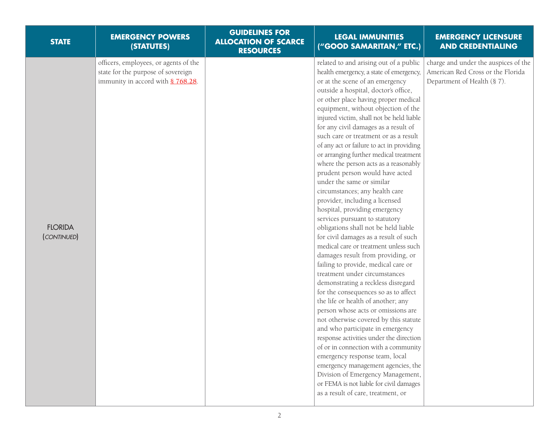| <b>STATE</b>                  | <b>EMERGENCY POWERS</b><br>(STATUTES)                                                                            | <b>GUIDELINES FOR</b><br><b>ALLOCATION OF SCARCE</b><br><b>RESOURCES</b> | <b>LEGAL IMMUNITIES</b><br>("GOOD SAMARITAN," ETC.)                                                                                                                                                                                                                                                                                                                                                                                                                                                                                                                                                                                                                                                                                                                                                                                                                                                                                                                                                                                                                                                                                                                                                                                                                                                                                                                                                                                                                            | <b>EMERGENCY LICENSURE</b><br><b>AND CREDENTIALING</b>                                                   |
|-------------------------------|------------------------------------------------------------------------------------------------------------------|--------------------------------------------------------------------------|--------------------------------------------------------------------------------------------------------------------------------------------------------------------------------------------------------------------------------------------------------------------------------------------------------------------------------------------------------------------------------------------------------------------------------------------------------------------------------------------------------------------------------------------------------------------------------------------------------------------------------------------------------------------------------------------------------------------------------------------------------------------------------------------------------------------------------------------------------------------------------------------------------------------------------------------------------------------------------------------------------------------------------------------------------------------------------------------------------------------------------------------------------------------------------------------------------------------------------------------------------------------------------------------------------------------------------------------------------------------------------------------------------------------------------------------------------------------------------|----------------------------------------------------------------------------------------------------------|
| <b>FLORIDA</b><br>(CONTINUED) | officers, employees, or agents of the<br>state for the purpose of sovereign<br>immunity in accord with § 768.28. |                                                                          | related to and arising out of a public<br>health emergency, a state of emergency,<br>or at the scene of an emergency<br>outside a hospital, doctor's office,<br>or other place having proper medical<br>equipment, without objection of the<br>injured victim, shall not be held liable<br>for any civil damages as a result of<br>such care or treatment or as a result<br>of any act or failure to act in providing<br>or arranging further medical treatment<br>where the person acts as a reasonably<br>prudent person would have acted<br>under the same or similar<br>circumstances; any health care<br>provider, including a licensed<br>hospital, providing emergency<br>services pursuant to statutory<br>obligations shall not be held liable<br>for civil damages as a result of such<br>medical care or treatment unless such<br>damages result from providing, or<br>failing to provide, medical care or<br>treatment under circumstances<br>demonstrating a reckless disregard<br>for the consequences so as to affect<br>the life or health of another; any<br>person whose acts or omissions are<br>not otherwise covered by this statute<br>and who participate in emergency<br>response activities under the direction<br>of or in connection with a community<br>emergency response team, local<br>emergency management agencies, the<br>Division of Emergency Management,<br>or FEMA is not liable for civil damages<br>as a result of care, treatment, or | charge and under the auspices of the<br>American Red Cross or the Florida<br>Department of Health (§ 7). |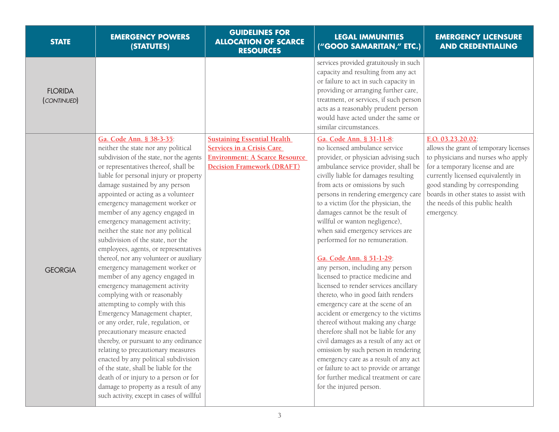| <b>STATE</b>                  | <b>EMERGENCY POWERS</b><br>(STATUTES)                                                                                                                                                                                                                                                                                                                                                                                                                                                                                                                                                                                                                                                                                                                                                                                                                                                                                                                                                                                                                                                                                       | <b>GUIDELINES FOR</b><br><b>ALLOCATION OF SCARCE</b><br><b>RESOURCES</b>                                                                             | <b>LEGAL IMMUNITIES</b><br>("GOOD SAMARITAN," ETC.)                                                                                                                                                                                                                                                                                                                                                                                                                                                                                                                                                                                                                                                                                                                                                                                                                                                                                                                                                                                    | <b>EMERGENCY LICENSURE</b><br><b>AND CREDENTIALING</b>                                                                                                                                                                                                                                                 |
|-------------------------------|-----------------------------------------------------------------------------------------------------------------------------------------------------------------------------------------------------------------------------------------------------------------------------------------------------------------------------------------------------------------------------------------------------------------------------------------------------------------------------------------------------------------------------------------------------------------------------------------------------------------------------------------------------------------------------------------------------------------------------------------------------------------------------------------------------------------------------------------------------------------------------------------------------------------------------------------------------------------------------------------------------------------------------------------------------------------------------------------------------------------------------|------------------------------------------------------------------------------------------------------------------------------------------------------|----------------------------------------------------------------------------------------------------------------------------------------------------------------------------------------------------------------------------------------------------------------------------------------------------------------------------------------------------------------------------------------------------------------------------------------------------------------------------------------------------------------------------------------------------------------------------------------------------------------------------------------------------------------------------------------------------------------------------------------------------------------------------------------------------------------------------------------------------------------------------------------------------------------------------------------------------------------------------------------------------------------------------------------|--------------------------------------------------------------------------------------------------------------------------------------------------------------------------------------------------------------------------------------------------------------------------------------------------------|
| <b>FLORIDA</b><br>(CONTINUED) |                                                                                                                                                                                                                                                                                                                                                                                                                                                                                                                                                                                                                                                                                                                                                                                                                                                                                                                                                                                                                                                                                                                             |                                                                                                                                                      | services provided gratuitously in such<br>capacity and resulting from any act<br>or failure to act in such capacity in<br>providing or arranging further care,<br>treatment, or services, if such person<br>acts as a reasonably prudent person<br>would have acted under the same or<br>similar circumstances.                                                                                                                                                                                                                                                                                                                                                                                                                                                                                                                                                                                                                                                                                                                        |                                                                                                                                                                                                                                                                                                        |
| <b>GEORGIA</b>                | Ga. Code Ann. § 38-3-35:<br>neither the state nor any political<br>subdivision of the state, nor the agents<br>or representatives thereof, shall be<br>liable for personal injury or property<br>damage sustained by any person<br>appointed or acting as a volunteer<br>emergency management worker or<br>member of any agency engaged in<br>emergency management activity;<br>neither the state nor any political<br>subdivision of the state, nor the<br>employees, agents, or representatives<br>thereof, nor any volunteer or auxiliary<br>emergency management worker or<br>member of any agency engaged in<br>emergency management activity<br>complying with or reasonably<br>attempting to comply with this<br>Emergency Management chapter,<br>or any order, rule, regulation, or<br>precautionary measure enacted<br>thereby, or pursuant to any ordinance<br>relating to precautionary measures<br>enacted by any political subdivision<br>of the state, shall be liable for the<br>death of or injury to a person or for<br>damage to property as a result of any<br>such activity, except in cases of willful | <b>Sustaining Essential Health</b><br><b>Services in a Crisis Care</b><br><b>Environment: A Scarce Resource</b><br><b>Decision Framework (DRAFT)</b> | Ga. Code Ann. § 31-11-8:<br>no licensed ambulance service<br>provider, or physician advising such<br>ambulance service provider, shall be<br>civilly liable for damages resulting<br>from acts or omissions by such<br>persons in rendering emergency care<br>to a victim (for the physician, the<br>damages cannot be the result of<br>willful or wanton negligence),<br>when said emergency services are<br>performed for no remuneration.<br>Ga. Code Ann. § 51-1-29:<br>any person, including any person<br>licensed to practice medicine and<br>licensed to render services ancillary<br>thereto, who in good faith renders<br>emergency care at the scene of an<br>accident or emergency to the victims<br>thereof without making any charge<br>therefore shall not be liable for any<br>civil damages as a result of any act or<br>omission by such person in rendering<br>emergency care as a result of any act<br>or failure to act to provide or arrange<br>for further medical treatment or care<br>for the injured person. | E.O. 03.23.20.02:<br>allows the grant of temporary licenses<br>to physicians and nurses who apply<br>for a temporary license and are<br>currently licensed equivalently in<br>good standing by corresponding<br>boards in other states to assist with<br>the needs of this public health<br>emergency. |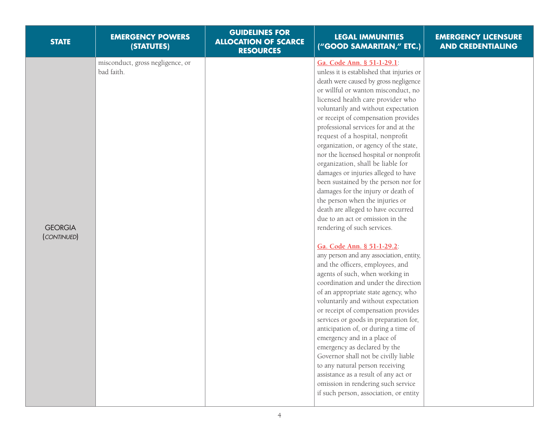| <b>STATE</b>                  | <b>EMERGENCY POWERS</b><br>(STATUTES)          | <b>GUIDELINES FOR</b><br><b>ALLOCATION OF SCARCE</b><br><b>RESOURCES</b> | <b>LEGAL IMMUNITIES</b><br>("GOOD SAMARITAN," ETC.)                                                                                                                                                                                                                                                                                                                                                                                                                                                                                                                                                                                                                                                                                                                                                                                                                                                                                                                                                                                                                                                                                                                                                                                                                                                                                                                                                             | <b>EMERGENCY LICENSURE</b><br><b>AND CREDENTIALING</b> |
|-------------------------------|------------------------------------------------|--------------------------------------------------------------------------|-----------------------------------------------------------------------------------------------------------------------------------------------------------------------------------------------------------------------------------------------------------------------------------------------------------------------------------------------------------------------------------------------------------------------------------------------------------------------------------------------------------------------------------------------------------------------------------------------------------------------------------------------------------------------------------------------------------------------------------------------------------------------------------------------------------------------------------------------------------------------------------------------------------------------------------------------------------------------------------------------------------------------------------------------------------------------------------------------------------------------------------------------------------------------------------------------------------------------------------------------------------------------------------------------------------------------------------------------------------------------------------------------------------------|--------------------------------------------------------|
| <b>GEORGIA</b><br>(CONTINUED) | misconduct, gross negligence, or<br>bad faith. |                                                                          | Ga. Code Ann. § 51-1-29.1:<br>unless it is established that injuries or<br>death were caused by gross negligence<br>or willful or wanton misconduct, no<br>licensed health care provider who<br>voluntarily and without expectation<br>or receipt of compensation provides<br>professional services for and at the<br>request of a hospital, nonprofit<br>organization, or agency of the state,<br>nor the licensed hospital or nonprofit<br>organization, shall be liable for<br>damages or injuries alleged to have<br>been sustained by the person nor for<br>damages for the injury or death of<br>the person when the injuries or<br>death are alleged to have occurred<br>due to an act or omission in the<br>rendering of such services.<br>Ga. Code Ann. § 51-1-29.2:<br>any person and any association, entity,<br>and the officers, employees, and<br>agents of such, when working in<br>coordination and under the direction<br>of an appropriate state agency, who<br>voluntarily and without expectation<br>or receipt of compensation provides<br>services or goods in preparation for,<br>anticipation of, or during a time of<br>emergency and in a place of<br>emergency as declared by the<br>Governor shall not be civilly liable<br>to any natural person receiving<br>assistance as a result of any act or<br>omission in rendering such service<br>if such person, association, or entity |                                                        |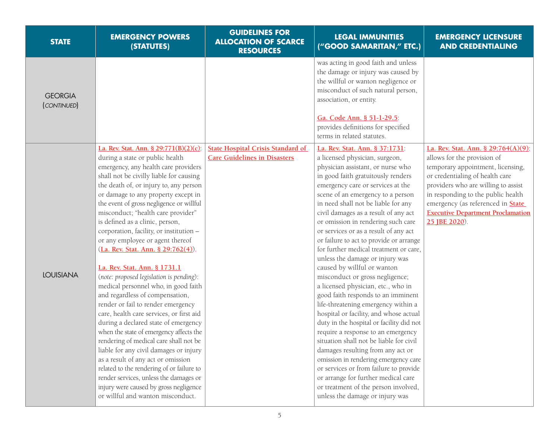| <b>STATE</b>                  | <b>EMERGENCY POWERS</b><br>(STATUTES)                                                                                                                                                                                                                                                                                                                                                                                                                                                                                                                                                                                                                                                                                                                                                                                                                                                                                                                                                                                                                                                                               | <b>GUIDELINES FOR</b><br><b>ALLOCATION OF SCARCE</b><br><b>RESOURCES</b>        | <b>LEGAL IMMUNITIES</b><br>("GOOD SAMARITAN," ETC.)                                                                                                                                                                                                                                                                                                                                                                                                                                                                                                                                                                                                                                                                                                                                                                                                                                                                                                                                                                                                                                                              | <b>EMERGENCY LICENSURE</b><br><b>AND CREDENTIALING</b>                                                                                                                                                                                                                                                                           |
|-------------------------------|---------------------------------------------------------------------------------------------------------------------------------------------------------------------------------------------------------------------------------------------------------------------------------------------------------------------------------------------------------------------------------------------------------------------------------------------------------------------------------------------------------------------------------------------------------------------------------------------------------------------------------------------------------------------------------------------------------------------------------------------------------------------------------------------------------------------------------------------------------------------------------------------------------------------------------------------------------------------------------------------------------------------------------------------------------------------------------------------------------------------|---------------------------------------------------------------------------------|------------------------------------------------------------------------------------------------------------------------------------------------------------------------------------------------------------------------------------------------------------------------------------------------------------------------------------------------------------------------------------------------------------------------------------------------------------------------------------------------------------------------------------------------------------------------------------------------------------------------------------------------------------------------------------------------------------------------------------------------------------------------------------------------------------------------------------------------------------------------------------------------------------------------------------------------------------------------------------------------------------------------------------------------------------------------------------------------------------------|----------------------------------------------------------------------------------------------------------------------------------------------------------------------------------------------------------------------------------------------------------------------------------------------------------------------------------|
| <b>GEORGIA</b><br>(CONTINUED) |                                                                                                                                                                                                                                                                                                                                                                                                                                                                                                                                                                                                                                                                                                                                                                                                                                                                                                                                                                                                                                                                                                                     |                                                                                 | was acting in good faith and unless<br>the damage or injury was caused by<br>the willful or wanton negligence or<br>misconduct of such natural person,<br>association, or entity.<br>Ga. Code Ann. § 51-1-29.5:<br>provides definitions for specified<br>terms in related statutes.                                                                                                                                                                                                                                                                                                                                                                                                                                                                                                                                                                                                                                                                                                                                                                                                                              |                                                                                                                                                                                                                                                                                                                                  |
| <b>LOUISIANA</b>              | La. Rev. Stat. Ann. § 29:771(B)(2)(c):<br>during a state or public health<br>emergency, any health care providers<br>shall not be civilly liable for causing<br>the death of, or injury to, any person<br>or damage to any property except in<br>the event of gross negligence or willful<br>misconduct; "health care provider"<br>is defined as a clinic, person,<br>corporation, facility, or institution -<br>or any employee or agent thereof<br>(La. Rev. Stat. Ann. § 29:762(4)).<br>La. Rev. Stat. Ann. § 1731.1<br>(note: proposed legislation is pending):<br>medical personnel who, in good faith<br>and regardless of compensation,<br>render or fail to render emergency<br>care, health care services, or first aid<br>during a declared state of emergency<br>when the state of emergency affects the<br>rendering of medical care shall not be<br>liable for any civil damages or injury<br>as a result of any act or omission<br>related to the rendering of or failure to<br>render services, unless the damages or<br>injury were caused by gross negligence<br>or willful and wanton misconduct. | <b>State Hospital Crisis Standard of</b><br><b>Care Guidelines in Disasters</b> | La. Rev. Stat. Ann. § 37:1731:<br>a licensed physician, surgeon,<br>physician assistant, or nurse who<br>in good faith gratuitously renders<br>emergency care or services at the<br>scene of an emergency to a person<br>in need shall not be liable for any<br>civil damages as a result of any act<br>or omission in rendering such care<br>or services or as a result of any act<br>or failure to act to provide or arrange<br>for further medical treatment or care,<br>unless the damage or injury was<br>caused by willful or wanton<br>misconduct or gross negligence;<br>a licensed physician, etc., who in<br>good faith responds to an imminent<br>life-threatening emergency within a<br>hospital or facility, and whose actual<br>duty in the hospital or facility did not<br>require a response to an emergency<br>situation shall not be liable for civil<br>damages resulting from any act or<br>omission in rendering emergency care<br>or services or from failure to provide<br>or arrange for further medical care<br>or treatment of the person involved,<br>unless the damage or injury was | La. Rev. Stat. Ann. § 29:764(A)(9):<br>allows for the provision of<br>temporary appointment, licensing,<br>or credentialing of health care<br>providers who are willing to assist<br>in responding to the public health<br>emergency (as referenced in <b>State</b><br><b>Executive Department Proclamation</b><br>25 JBE 2020). |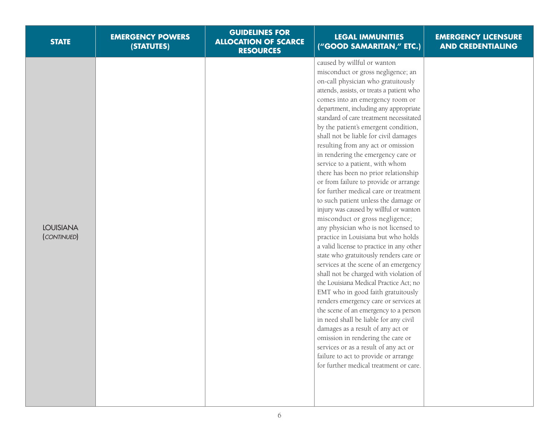| <b>STATE</b>                    | <b>EMERGENCY POWERS</b><br>(STATUTES) | <b>GUIDELINES FOR</b><br><b>ALLOCATION OF SCARCE</b><br><b>RESOURCES</b> | <b>LEGAL IMMUNITIES</b><br>("GOOD SAMARITAN," ETC.)                                                                                                                                                                                                                                                                                                                                                                                                                                                                                                                                                                                                                                                                                                                                                                                                                                                                                                                                                                                                                                                                                                                                                                                                                                                                                                                                                | <b>EMERGENCY LICENSURE</b><br><b>AND CREDENTIALING</b> |
|---------------------------------|---------------------------------------|--------------------------------------------------------------------------|----------------------------------------------------------------------------------------------------------------------------------------------------------------------------------------------------------------------------------------------------------------------------------------------------------------------------------------------------------------------------------------------------------------------------------------------------------------------------------------------------------------------------------------------------------------------------------------------------------------------------------------------------------------------------------------------------------------------------------------------------------------------------------------------------------------------------------------------------------------------------------------------------------------------------------------------------------------------------------------------------------------------------------------------------------------------------------------------------------------------------------------------------------------------------------------------------------------------------------------------------------------------------------------------------------------------------------------------------------------------------------------------------|--------------------------------------------------------|
| <b>LOUISIANA</b><br>(CONTINUED) |                                       |                                                                          | caused by willful or wanton<br>misconduct or gross negligence; an<br>on-call physician who gratuitously<br>attends, assists, or treats a patient who<br>comes into an emergency room or<br>department, including any appropriate<br>standard of care treatment necessitated<br>by the patient's emergent condition,<br>shall not be liable for civil damages<br>resulting from any act or omission<br>in rendering the emergency care or<br>service to a patient, with whom<br>there has been no prior relationship<br>or from failure to provide or arrange<br>for further medical care or treatment<br>to such patient unless the damage or<br>injury was caused by willful or wanton<br>misconduct or gross negligence;<br>any physician who is not licensed to<br>practice in Louisiana but who holds<br>a valid license to practice in any other<br>state who gratuitously renders care or<br>services at the scene of an emergency<br>shall not be charged with violation of<br>the Louisiana Medical Practice Act; no<br>EMT who in good faith gratuitously<br>renders emergency care or services at<br>the scene of an emergency to a person<br>in need shall be liable for any civil<br>damages as a result of any act or<br>omission in rendering the care or<br>services or as a result of any act or<br>failure to act to provide or arrange<br>for further medical treatment or care. |                                                        |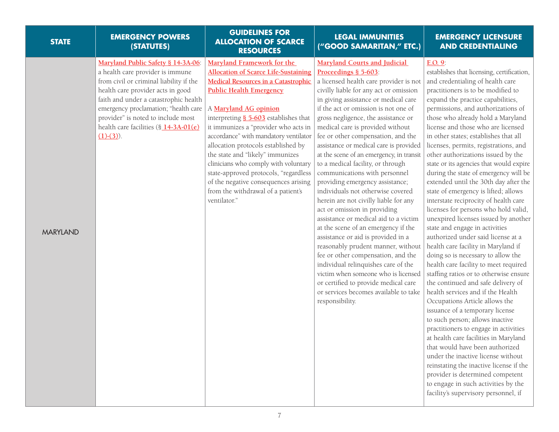| <b>STATE</b>    | <b>EMERGENCY POWERS</b><br>(STATUTES)                                                                                                                                                                                                                                                                                                 | <b>GUIDELINES FOR</b><br><b>ALLOCATION OF SCARCE</b><br><b>RESOURCES</b>                                                                                                                                                                                                                                                                                                                                                                                                                                                                                               | <b>LEGAL IMMUNITIES</b><br>("GOOD SAMARITAN," ETC.)                                                                                                                                                                                                                                                                                                                                                                                                                                                                                                                                                                                                                                                                                                                                                                                                                                                                                                                                                                                               | <b>EMERGENCY LICENSURE</b><br><b>AND CREDENTIALING</b>                                                                                                                                                                                                                                                                                                                                                                                                                                                                                                                                                                                                                                                                                                                                                                                                                                                                                                                                                                                                                                                                                                                                                                                                                                                                                                                                                                                                          |
|-----------------|---------------------------------------------------------------------------------------------------------------------------------------------------------------------------------------------------------------------------------------------------------------------------------------------------------------------------------------|------------------------------------------------------------------------------------------------------------------------------------------------------------------------------------------------------------------------------------------------------------------------------------------------------------------------------------------------------------------------------------------------------------------------------------------------------------------------------------------------------------------------------------------------------------------------|---------------------------------------------------------------------------------------------------------------------------------------------------------------------------------------------------------------------------------------------------------------------------------------------------------------------------------------------------------------------------------------------------------------------------------------------------------------------------------------------------------------------------------------------------------------------------------------------------------------------------------------------------------------------------------------------------------------------------------------------------------------------------------------------------------------------------------------------------------------------------------------------------------------------------------------------------------------------------------------------------------------------------------------------------|-----------------------------------------------------------------------------------------------------------------------------------------------------------------------------------------------------------------------------------------------------------------------------------------------------------------------------------------------------------------------------------------------------------------------------------------------------------------------------------------------------------------------------------------------------------------------------------------------------------------------------------------------------------------------------------------------------------------------------------------------------------------------------------------------------------------------------------------------------------------------------------------------------------------------------------------------------------------------------------------------------------------------------------------------------------------------------------------------------------------------------------------------------------------------------------------------------------------------------------------------------------------------------------------------------------------------------------------------------------------------------------------------------------------------------------------------------------------|
| <b>MARYLAND</b> | Maryland Public Safety § 14-3A-06:<br>a health care provider is immune<br>from civil or criminal liability if the<br>health care provider acts in good<br>faith and under a catastrophic health<br>emergency proclamation; "health care<br>provider" is noted to include most<br>health care facilities (§ 14-3A-01(e)<br>$(1)-(3)$ . | Maryland Framework for the<br><b>Allocation of Scarce Life-Sustaining</b><br><b>Medical Resources in a Catastrophic</b><br><b>Public Health Emergency</b><br>A Maryland AG opinion<br>interpreting § 5-603 establishes that<br>it immunizes a "provider who acts in<br>accordance" with mandatory ventilator<br>allocation protocols established by<br>the state and "likely" immunizes<br>clinicians who comply with voluntary<br>state-approved protocols, "regardless<br>of the negative consequences arising<br>from the withdrawal of a patient's<br>ventilator." | <b>Maryland Courts and Judicial</b><br>Proceedings § 5-603:<br>a licensed health care provider is not<br>civilly liable for any act or omission<br>in giving assistance or medical care<br>if the act or omission is not one of<br>gross negligence, the assistance or<br>medical care is provided without<br>fee or other compensation, and the<br>assistance or medical care is provided<br>at the scene of an emergency, in transit<br>to a medical facility, or through<br>communications with personnel<br>providing emergency assistance;<br>individuals not otherwise covered<br>herein are not civilly liable for any<br>act or omission in providing<br>assistance or medical aid to a victim<br>at the scene of an emergency if the<br>assistance or aid is provided in a<br>reasonably prudent manner, without<br>fee or other compensation, and the<br>individual relinquishes care of the<br>victim when someone who is licensed<br>or certified to provide medical care<br>or services becomes available to take<br>responsibility. | E.O. 9:<br>establishes that licensing, certification,<br>and credentialing of health care<br>practitioners is to be modified to<br>expand the practice capabilities,<br>permissions, and authorizations of<br>those who already hold a Maryland<br>license and those who are licensed<br>in other states; establishes that all<br>licenses, permits, registrations, and<br>other authorizations issued by the<br>state or its agencies that would expire<br>during the state of emergency will be<br>extended until the 30th day after the<br>state of emergency is lifted; allows<br>interstate reciprocity of health care<br>licenses for persons who hold valid,<br>unexpired licenses issued by another<br>state and engage in activities<br>authorized under said license at a<br>health care facility in Maryland if<br>doing so is necessary to allow the<br>health care facility to meet required<br>staffing ratios or to otherwise ensure<br>the continued and safe delivery of<br>health services and if the Health<br>Occupations Article allows the<br>issuance of a temporary license<br>to such person; allows inactive<br>practitioners to engage in activities<br>at health care facilities in Maryland<br>that would have been authorized<br>under the inactive license without<br>reinstating the inactive license if the<br>provider is determined competent<br>to engage in such activities by the<br>facility's supervisory personnel, if |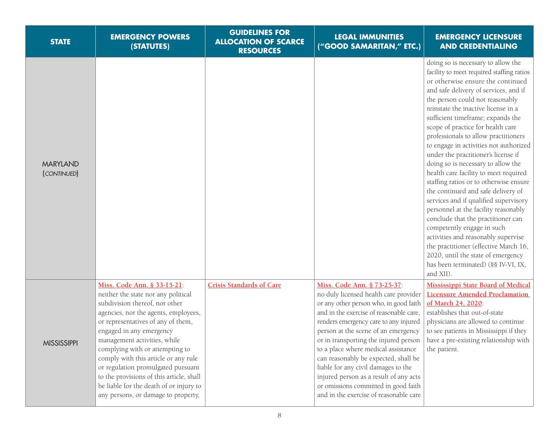| <b>STATE</b>                   | <b>EMERGENCY POWERS</b><br>(STATUTES)                                                                                                                                                                                                                                                                                                                                                                                                                                                         | <b>GUIDELINES FOR</b><br><b>ALLOCATION OF SCARCE</b><br><b>RESOURCES</b> | <b>LEGAL IMMUNITIES</b><br>("GOOD SAMARITAN," ETC.)                                                                                                                                                                                                                                                                                                                                                                                                                                                                                  | <b>EMERGENCY LICENSURE</b><br><b>AND CREDENTIALING</b>                                                                                                                                                                                                                                                                                                                                                                                                                                                                                                                                                                                                                                                                                                                                                                                                                                                                                   |
|--------------------------------|-----------------------------------------------------------------------------------------------------------------------------------------------------------------------------------------------------------------------------------------------------------------------------------------------------------------------------------------------------------------------------------------------------------------------------------------------------------------------------------------------|--------------------------------------------------------------------------|--------------------------------------------------------------------------------------------------------------------------------------------------------------------------------------------------------------------------------------------------------------------------------------------------------------------------------------------------------------------------------------------------------------------------------------------------------------------------------------------------------------------------------------|------------------------------------------------------------------------------------------------------------------------------------------------------------------------------------------------------------------------------------------------------------------------------------------------------------------------------------------------------------------------------------------------------------------------------------------------------------------------------------------------------------------------------------------------------------------------------------------------------------------------------------------------------------------------------------------------------------------------------------------------------------------------------------------------------------------------------------------------------------------------------------------------------------------------------------------|
| <b>MARYLAND</b><br>(CONTINUED) |                                                                                                                                                                                                                                                                                                                                                                                                                                                                                               |                                                                          |                                                                                                                                                                                                                                                                                                                                                                                                                                                                                                                                      | doing so is necessary to allow the<br>facility to meet required staffing ratios<br>or otherwise ensure the continued<br>and safe delivery of services, and if<br>the person could not reasonably<br>reinstate the inactive license in a<br>sufficient timeframe; expands the<br>scope of practice for health care<br>professionals to allow practitioners<br>to engage in activities not authorized<br>under the practitioner's license if<br>doing so is necessary to allow the<br>health care facility to meet required<br>staffing ratios or to otherwise ensure<br>the continued and safe delivery of<br>services and if qualified supervisory<br>personnel at the facility reasonably<br>conclude that the practitioner can<br>competently engage in such<br>activities and reasonably supervise<br>the practitioner (effective March 16,<br>2020, until the state of emergency<br>has been terminated) (§§ IV-VI, IX,<br>and XII). |
| <b>MISSISSIPPI</b>             | Miss. Code Ann. § 33-15-21:<br>neither the state nor any political<br>subdivision thereof, nor other<br>agencies, nor the agents, employees,<br>or representatives of any of them,<br>engaged in any emergency<br>management activities, while<br>complying with or attempting to<br>comply with this article or any rule<br>or regulation promulgated pursuant<br>to the provisions of this article, shall<br>be liable for the death of or injury to<br>any persons, or damage to property, | <b>Crisis Standards of Care</b>                                          | Miss. Code Ann. § 73-25-37.<br>no duly licensed health care provider<br>or any other person who, in good faith<br>and in the exercise of reasonable care,<br>renders emergency care to any injured<br>person at the scene of an emergency<br>or in transporting the injured person<br>to a place where medical assistance<br>can reasonably be expected, shall be<br>liable for any civil damages to the<br>injured person as a result of any acts<br>or omissions committed in good faith<br>and in the exercise of reasonable care | <b>Mississippi State Board of Medical</b><br><b>Licensure Amended Proclamation</b><br>of March 24, 2020:<br>establishes that out-of-state<br>physicians are allowed to continue<br>to see patients in Mississippi if they<br>have a pre-existing relationship with<br>the patient.                                                                                                                                                                                                                                                                                                                                                                                                                                                                                                                                                                                                                                                       |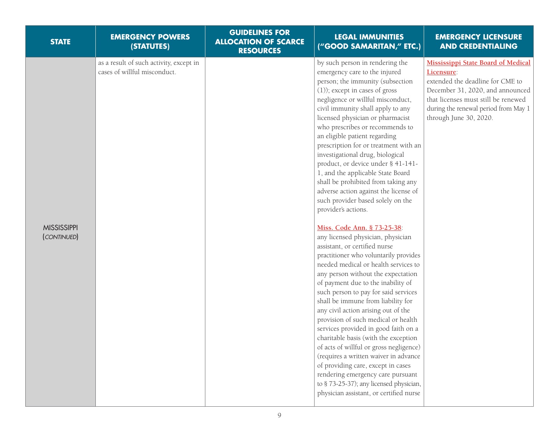| <b>STATE</b>                      | <b>EMERGENCY POWERS</b><br>(STATUTES)                                   | <b>GUIDELINES FOR</b><br><b>ALLOCATION OF SCARCE</b><br><b>RESOURCES</b> | <b>LEGAL IMMUNITIES</b><br>("GOOD SAMARITAN," ETC.)                                                                                                                                                                                                                                                                                                                                                                                                                                                                                                                                                                                                                                                                                                                                                                                                                                                                                                                                                                                                                                                                                                                                                                                                                                                                                                                                             | <b>EMERGENCY LICENSURE</b><br><b>AND CREDENTIALING</b>                                                                                                                                                                                   |
|-----------------------------------|-------------------------------------------------------------------------|--------------------------------------------------------------------------|-------------------------------------------------------------------------------------------------------------------------------------------------------------------------------------------------------------------------------------------------------------------------------------------------------------------------------------------------------------------------------------------------------------------------------------------------------------------------------------------------------------------------------------------------------------------------------------------------------------------------------------------------------------------------------------------------------------------------------------------------------------------------------------------------------------------------------------------------------------------------------------------------------------------------------------------------------------------------------------------------------------------------------------------------------------------------------------------------------------------------------------------------------------------------------------------------------------------------------------------------------------------------------------------------------------------------------------------------------------------------------------------------|------------------------------------------------------------------------------------------------------------------------------------------------------------------------------------------------------------------------------------------|
| <b>MISSISSIPPI</b><br>(CONTINUED) | as a result of such activity, except in<br>cases of willful misconduct. |                                                                          | by such person in rendering the<br>emergency care to the injured<br>person; the immunity (subsection<br>(1)); except in cases of gross<br>negligence or willful misconduct,<br>civil immunity shall apply to any<br>licensed physician or pharmacist<br>who prescribes or recommends to<br>an eligible patient regarding<br>prescription for or treatment with an<br>investigational drug, biological<br>product, or device under § 41-141-<br>1, and the applicable State Board<br>shall be prohibited from taking any<br>adverse action against the license of<br>such provider based solely on the<br>provider's actions.<br>Miss. Code Ann. § 73-25-38:<br>any licensed physician, physician<br>assistant, or certified nurse<br>practitioner who voluntarily provides<br>needed medical or health services to<br>any person without the expectation<br>of payment due to the inability of<br>such person to pay for said services<br>shall be immune from liability for<br>any civil action arising out of the<br>provision of such medical or health<br>services provided in good faith on a<br>charitable basis (with the exception<br>of acts of willful or gross negligence)<br>(requires a written waiver in advance<br>of providing care, except in cases<br>rendering emergency care pursuant<br>to § 73-25-37); any licensed physician,<br>physician assistant, or certified nurse | <b>Mississippi State Board of Medical</b><br>Licensure:<br>extended the deadline for CME to<br>December 31, 2020, and announced<br>that licenses must still be renewed<br>during the renewal period from May 1<br>through June 30, 2020. |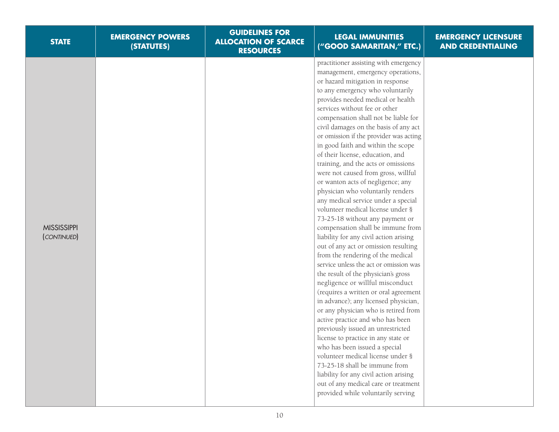| <b>STATE</b>                      | <b>EMERGENCY POWERS</b><br>(STATUTES) | <b>GUIDELINES FOR</b><br><b>ALLOCATION OF SCARCE</b><br><b>RESOURCES</b> | <b>LEGAL IMMUNITIES</b><br>("GOOD SAMARITAN," ETC.)                                                                                                                                                                                                                                                                                                                                                                                                                                                                                                                                                                                                                                                                                                                                                                                                                                                                                                                                                                                                                                                                                                                                                                                                                                                                                                                                                                                                           | <b>EMERGENCY LICENSURE</b><br><b>AND CREDENTIALING</b> |
|-----------------------------------|---------------------------------------|--------------------------------------------------------------------------|---------------------------------------------------------------------------------------------------------------------------------------------------------------------------------------------------------------------------------------------------------------------------------------------------------------------------------------------------------------------------------------------------------------------------------------------------------------------------------------------------------------------------------------------------------------------------------------------------------------------------------------------------------------------------------------------------------------------------------------------------------------------------------------------------------------------------------------------------------------------------------------------------------------------------------------------------------------------------------------------------------------------------------------------------------------------------------------------------------------------------------------------------------------------------------------------------------------------------------------------------------------------------------------------------------------------------------------------------------------------------------------------------------------------------------------------------------------|--------------------------------------------------------|
| <b>MISSISSIPPI</b><br>(CONTINUED) |                                       |                                                                          | practitioner assisting with emergency<br>management, emergency operations,<br>or hazard mitigation in response<br>to any emergency who voluntarily<br>provides needed medical or health<br>services without fee or other<br>compensation shall not be liable for<br>civil damages on the basis of any act<br>or omission if the provider was acting<br>in good faith and within the scope<br>of their license, education, and<br>training, and the acts or omissions<br>were not caused from gross, willful<br>or wanton acts of negligence; any<br>physician who voluntarily renders<br>any medical service under a special<br>volunteer medical license under §<br>73-25-18 without any payment or<br>compensation shall be immune from<br>liability for any civil action arising<br>out of any act or omission resulting<br>from the rendering of the medical<br>service unless the act or omission was<br>the result of the physician's gross<br>negligence or willful misconduct<br>(requires a written or oral agreement<br>in advance); any licensed physician,<br>or any physician who is retired from<br>active practice and who has been<br>previously issued an unrestricted<br>license to practice in any state or<br>who has been issued a special<br>volunteer medical license under §<br>73-25-18 shall be immune from<br>liability for any civil action arising<br>out of any medical care or treatment<br>provided while voluntarily serving |                                                        |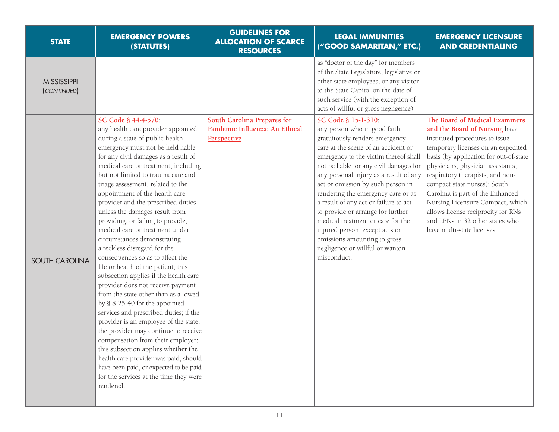| <b>STATE</b>                      | <b>EMERGENCY POWERS</b><br>(STATUTES)                                                                                                                                                                                                                                                                                                                                                                                                                                                                                                                                                                                                                                                                                                                                                                                                                                                                                                                                                                                                                                                                      | <b>GUIDELINES FOR</b><br><b>ALLOCATION OF SCARCE</b><br><b>RESOURCES</b> | <b>LEGAL IMMUNITIES</b><br>("GOOD SAMARITAN," ETC.)                                                                                                                                                                                                                                                                                                                                                                                                                                                                                                   | <b>EMERGENCY LICENSURE</b><br><b>AND CREDENTIALING</b>                                                                                                                                                                                                                                                                                                                                                                                  |
|-----------------------------------|------------------------------------------------------------------------------------------------------------------------------------------------------------------------------------------------------------------------------------------------------------------------------------------------------------------------------------------------------------------------------------------------------------------------------------------------------------------------------------------------------------------------------------------------------------------------------------------------------------------------------------------------------------------------------------------------------------------------------------------------------------------------------------------------------------------------------------------------------------------------------------------------------------------------------------------------------------------------------------------------------------------------------------------------------------------------------------------------------------|--------------------------------------------------------------------------|-------------------------------------------------------------------------------------------------------------------------------------------------------------------------------------------------------------------------------------------------------------------------------------------------------------------------------------------------------------------------------------------------------------------------------------------------------------------------------------------------------------------------------------------------------|-----------------------------------------------------------------------------------------------------------------------------------------------------------------------------------------------------------------------------------------------------------------------------------------------------------------------------------------------------------------------------------------------------------------------------------------|
| <b>MISSISSIPPI</b><br>(CONTINUED) | SC Code § 44-4-570                                                                                                                                                                                                                                                                                                                                                                                                                                                                                                                                                                                                                                                                                                                                                                                                                                                                                                                                                                                                                                                                                         | <b>South Carolina Prepares for</b>                                       | as "doctor of the day" for members<br>of the State Legislature, legislative or<br>other state employees, or any visitor<br>to the State Capitol on the date of<br>such service (with the exception of<br>acts of willful or gross negligence).<br>SC Code § 15-1-310:                                                                                                                                                                                                                                                                                 | The Board of Medical Examiners                                                                                                                                                                                                                                                                                                                                                                                                          |
| <b>SOUTH CAROLINA</b>             | any health care provider appointed<br>during a state of public health<br>emergency must not be held liable<br>for any civil damages as a result of<br>medical care or treatment, including<br>but not limited to trauma care and<br>triage assessment, related to the<br>appointment of the health care<br>provider and the prescribed duties<br>unless the damages result from<br>providing, or failing to provide,<br>medical care or treatment under<br>circumstances demonstrating<br>a reckless disregard for the<br>consequences so as to affect the<br>life or health of the patient; this<br>subsection applies if the health care<br>provider does not receive payment<br>from the state other than as allowed<br>by § 8-25-40 for the appointed<br>services and prescribed duties; if the<br>provider is an employee of the state,<br>the provider may continue to receive<br>compensation from their employer;<br>this subsection applies whether the<br>health care provider was paid, should<br>have been paid, or expected to be paid<br>for the services at the time they were<br>rendered. | Pandemic Influenza: An Ethical<br><b>Perspective</b>                     | any person who in good faith<br>gratuitously renders emergency<br>care at the scene of an accident or<br>emergency to the victim thereof shall<br>not be liable for any civil damages for<br>any personal injury as a result of any<br>act or omission by such person in<br>rendering the emergency care or as<br>a result of any act or failure to act<br>to provide or arrange for further<br>medical treatment or care for the<br>injured person, except acts or<br>omissions amounting to gross<br>negligence or willful or wanton<br>misconduct. | and the Board of Nursing have<br>instituted procedures to issue<br>temporary licenses on an expedited<br>basis (by application for out-of-state<br>physicians, physician assistants,<br>respiratory therapists, and non-<br>compact state nurses); South<br>Carolina is part of the Enhanced<br>Nursing Licensure Compact, which<br>allows license reciprocity for RNs<br>and LPNs in 32 other states who<br>have multi-state licenses. |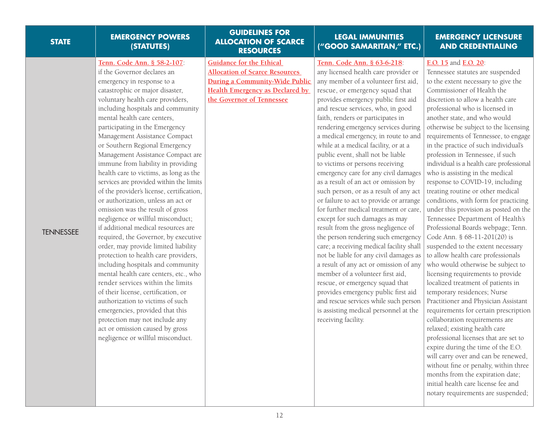| <b>STATE</b>     | <b>EMERGENCY POWERS</b><br>(STATUTES)                                                                                                                                                                                                                                                                                                                                                                                                                                                                                                                                                                                                                                                                                                                                                                                                                                                                                                                                                                                                                                                                                                                                          | <b>GUIDELINES FOR</b><br><b>ALLOCATION OF SCARCE</b><br><b>RESOURCES</b>                                                                                                          | <b>LEGAL IMMUNITIES</b><br>("GOOD SAMARITAN," ETC.)                                                                                                                                                                                                                                                                                                                                                                                                                                                                                                                                                                                                                                                                                                                                                                                                                                                                                                                                                                                                                                                                                                  | <b>EMERGENCY LICENSURE</b><br><b>AND CREDENTIALING</b>                                                                                                                                                                                                                                                                                                                                                                                                                                                                                                                                                                                                                                                                                                                                                                                                                                                                                                                                                                                                                                                                                                                                                                                                                                                                                                                                                             |
|------------------|--------------------------------------------------------------------------------------------------------------------------------------------------------------------------------------------------------------------------------------------------------------------------------------------------------------------------------------------------------------------------------------------------------------------------------------------------------------------------------------------------------------------------------------------------------------------------------------------------------------------------------------------------------------------------------------------------------------------------------------------------------------------------------------------------------------------------------------------------------------------------------------------------------------------------------------------------------------------------------------------------------------------------------------------------------------------------------------------------------------------------------------------------------------------------------|-----------------------------------------------------------------------------------------------------------------------------------------------------------------------------------|------------------------------------------------------------------------------------------------------------------------------------------------------------------------------------------------------------------------------------------------------------------------------------------------------------------------------------------------------------------------------------------------------------------------------------------------------------------------------------------------------------------------------------------------------------------------------------------------------------------------------------------------------------------------------------------------------------------------------------------------------------------------------------------------------------------------------------------------------------------------------------------------------------------------------------------------------------------------------------------------------------------------------------------------------------------------------------------------------------------------------------------------------|--------------------------------------------------------------------------------------------------------------------------------------------------------------------------------------------------------------------------------------------------------------------------------------------------------------------------------------------------------------------------------------------------------------------------------------------------------------------------------------------------------------------------------------------------------------------------------------------------------------------------------------------------------------------------------------------------------------------------------------------------------------------------------------------------------------------------------------------------------------------------------------------------------------------------------------------------------------------------------------------------------------------------------------------------------------------------------------------------------------------------------------------------------------------------------------------------------------------------------------------------------------------------------------------------------------------------------------------------------------------------------------------------------------------|
| <b>TENNESSEE</b> | Tenn. Code Ann. § 58-2-107:<br>if the Governor declares an<br>emergency in response to a<br>catastrophic or major disaster,<br>voluntary health care providers,<br>including hospitals and community<br>mental health care centers,<br>participating in the Emergency<br>Management Assistance Compact<br>or Southern Regional Emergency<br>Management Assistance Compact are<br>immune from liability in providing<br>health care to victims, as long as the<br>services are provided within the limits<br>of the provider's license, certification,<br>or authorization, unless an act or<br>omission was the result of gross<br>negligence or willful misconduct;<br>if additional medical resources are<br>required, the Governor, by executive<br>order, may provide limited liability<br>protection to health care providers,<br>including hospitals and community<br>mental health care centers, etc., who<br>render services within the limits<br>of their license, certification, or<br>authorization to victims of such<br>emergencies, provided that this<br>protection may not include any<br>act or omission caused by gross<br>negligence or willful misconduct. | <b>Guidance for the Ethical</b><br><b>Allocation of Scarce Resources</b><br>During a Community-Wide Public<br><b>Health Emergency as Declared by</b><br>the Governor of Tennessee | Tenn. Code Ann. § 63-6-218:<br>any licensed health care provider or<br>any member of a volunteer first aid,<br>rescue, or emergency squad that<br>provides emergency public first aid<br>and rescue services, who, in good<br>faith, renders or participates in<br>rendering emergency services during<br>a medical emergency, in route to and<br>while at a medical facility, or at a<br>public event, shall not be liable<br>to victims or persons receiving<br>emergency care for any civil damages<br>as a result of an act or omission by<br>such person, or as a result of any act<br>or failure to act to provide or arrange<br>for further medical treatment or care,<br>except for such damages as may<br>result from the gross negligence of<br>the person rendering such emergency<br>care; a receiving medical facility shall<br>not be liable for any civil damages as<br>a result of any act or omission of any<br>member of a volunteer first aid,<br>rescue, or emergency squad that<br>provides emergency public first aid<br>and rescue services while such person<br>is assisting medical personnel at the<br>receiving facility. | E.O. 15 and E.O. 20:<br>Tennessee statutes are suspended<br>to the extent necessary to give the<br>Commissioner of Health the<br>discretion to allow a health care<br>professional who is licensed in<br>another state, and who would<br>otherwise be subject to the licensing<br>requirements of Tennessee, to engage<br>in the practice of such individual's<br>profession in Tennessee, if such<br>individual is a health care professional<br>who is assisting in the medical<br>response to COVID-19, including<br>treating routine or other medical<br>conditions, with form for practicing<br>under this provision as posted on the<br>Tennessee Department of Health's<br>Professional Boards webpage; Tenn.<br>Code Ann. § 68-11-201(20) is<br>suspended to the extent necessary<br>to allow health care professionals<br>who would otherwise be subject to<br>licensing requirements to provide<br>localized treatment of patients in<br>temporary residences; Nurse<br>Practitioner and Physician Assistant<br>requirements for certain prescription<br>collaboration requirements are<br>relaxed; existing health care<br>professional licenses that are set to<br>expire during the time of the E.O.<br>will carry over and can be renewed,<br>without fine or penalty, within three<br>months from the expiration date;<br>initial health care license fee and<br>notary requirements are suspended; |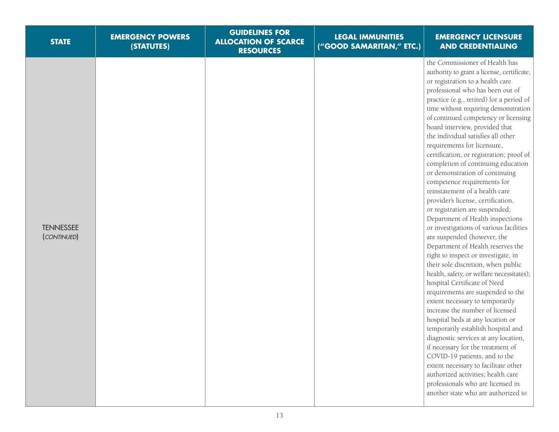| <b>STATE</b>                    | <b>EMERGENCY POWERS</b><br>(STATUTES) | <b>GUIDELINES FOR</b><br><b>ALLOCATION OF SCARCE</b><br><b>RESOURCES</b> | <b>LEGAL IMMUNITIES</b><br>("GOOD SAMARITAN," ETC.) | <b>EMERGENCY LICENSURE</b><br><b>AND CREDENTIALING</b>                                                                                                                                                                                                                                                                                                                                                                                                                                                                                                                                                                                                                                                                                                                                                                                                                                                                                                                                                                                                                                                                                                                                                                                                                                                                                                                                                                         |
|---------------------------------|---------------------------------------|--------------------------------------------------------------------------|-----------------------------------------------------|--------------------------------------------------------------------------------------------------------------------------------------------------------------------------------------------------------------------------------------------------------------------------------------------------------------------------------------------------------------------------------------------------------------------------------------------------------------------------------------------------------------------------------------------------------------------------------------------------------------------------------------------------------------------------------------------------------------------------------------------------------------------------------------------------------------------------------------------------------------------------------------------------------------------------------------------------------------------------------------------------------------------------------------------------------------------------------------------------------------------------------------------------------------------------------------------------------------------------------------------------------------------------------------------------------------------------------------------------------------------------------------------------------------------------------|
| <b>TENNESSEE</b><br>(CONTINUED) |                                       |                                                                          |                                                     | the Commissioner of Health has<br>authority to grant a license, certificate,<br>or registration to a health care<br>professional who has been out of<br>practice (e.g., retired) for a period of<br>time without requiring demonstration<br>of continued competency or licensing<br>board interview, provided that<br>the individual satisfies all other<br>requirements for licensure,<br>certification, or registration; proof of<br>completion of continuing education<br>or demonstration of continuing<br>competence requirements for<br>reinstatement of a health care<br>provider's license, certification,<br>or registration are suspended;<br>Department of Health inspections<br>or investigations of various facilities<br>are suspended (however, the<br>Department of Health reserves the<br>right to inspect or investigate, in<br>their sole discretion, when public<br>health, safety, or welfare necessitates);<br>hospital Certificate of Need<br>requirements are suspended to the<br>extent necessary to temporarily<br>increase the number of licensed<br>hospital beds at any location or<br>temporarily establish hospital and<br>diagnostic services at any location,<br>if necessary for the treatment of<br>COVID-19 patients, and to the<br>extent necessary to facilitate other<br>authorized activities; health care<br>professionals who are licensed in<br>another state who are authorized to |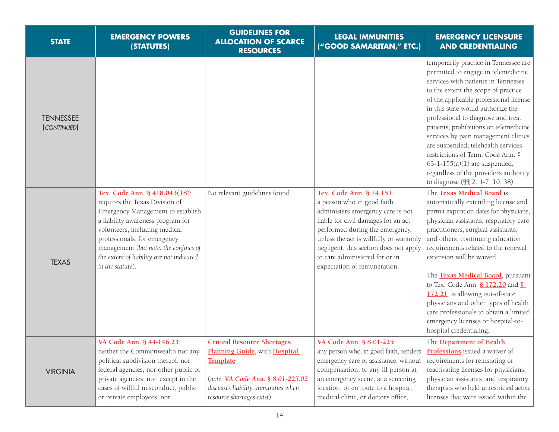| <b>STATE</b>                    | <b>EMERGENCY POWERS</b><br>(STATUTES)                                                                                                                                                                                                                                                                                | <b>GUIDELINES FOR</b><br><b>ALLOCATION OF SCARCE</b><br><b>RESOURCES</b>                                                                                                                 | <b>LEGAL IMMUNITIES</b><br>("GOOD SAMARITAN," ETC.)                                                                                                                                                                                                                                                                          | <b>EMERGENCY LICENSURE</b><br><b>AND CREDENTIALING</b>                                                                                                                                                                                                                                                                                                                                                                                                                                                                                                                        |
|---------------------------------|----------------------------------------------------------------------------------------------------------------------------------------------------------------------------------------------------------------------------------------------------------------------------------------------------------------------|------------------------------------------------------------------------------------------------------------------------------------------------------------------------------------------|------------------------------------------------------------------------------------------------------------------------------------------------------------------------------------------------------------------------------------------------------------------------------------------------------------------------------|-------------------------------------------------------------------------------------------------------------------------------------------------------------------------------------------------------------------------------------------------------------------------------------------------------------------------------------------------------------------------------------------------------------------------------------------------------------------------------------------------------------------------------------------------------------------------------|
| <b>TENNESSEE</b><br>(CONTINUED) |                                                                                                                                                                                                                                                                                                                      |                                                                                                                                                                                          |                                                                                                                                                                                                                                                                                                                              | temporarily practice in Tennessee are<br>permitted to engage in telemedicine<br>services with patients in Tennessee<br>to the extent the scope of practice<br>of the applicable professional license<br>in this state would authorize the<br>professional to diagnose and treat<br>patients; prohibitions on telemedicine<br>services by pain management clinics<br>are suspended; telehealth services<br>restrictions of Tenn. Code Ann. §<br>$63-1-155(a)(1)$ are suspended,<br>regardless of the provider's authority<br>to diagnose (II 2, 4-7, 10, 38).                  |
| <b>TEXAS</b>                    | Tex. Code Ann. § 418.043(18):<br>requires the Texas Division of<br>Emergency Management to establish<br>a liability awareness program for<br>volunteers, including medical<br>professionals, for emergency<br>management (but note: the confines of<br>the extent of liability are not indicated<br>in the statute). | No relevant guidelines found                                                                                                                                                             | Tex. Code Ann. § 74.151:<br>a person who in good faith<br>administers emergency care is not<br>liable for civil damages for an act<br>performed during the emergency,<br>unless the act is willfully or wantonly<br>negligent; this section does not apply<br>to care administered for or in<br>expectation of remuneration. | The Texas Medical Board is<br>automatically extending license and<br>permit expiration dates for physicians,<br>physician assistants, respiratory care<br>practitioners, surgical assistants,<br>and others; continuing education<br>requirements related to the renewal<br>extension will be waived.<br>The <b>Texas Medical Board</b> , pursuant<br>to Tex. Code Ann. § 172.20 and §<br>172.21, is allowing out-of-state<br>physicians and other types of health<br>care professionals to obtain a limited<br>emergency licenses or hospital-to-<br>hospital credentialing. |
| <b>VIRGINIA</b>                 | VA Code Ann. § 44-146.23:<br>neither the Commonwealth nor any<br>political subdivision thereof, nor<br>federal agencies, nor other public or<br>private agencies, nor, except in the<br>cases of willful misconduct, public<br>or private employees, nor                                                             | <b>Critical Resource Shortages</b><br>Planning Guide, with Hospital<br>Template<br>(note: VA Code Ann. § 8.01-225.02<br>discusses liability immunities when<br>resource shortages exist) | VA Code Ann. § 8.01-225:<br>any person who, in good faith, renders<br>emergency care or assistance, without<br>compensation, to any ill person at<br>an emergency scene, at a screening<br>location, or en route to a hospital,<br>medical clinic, or doctor's office,                                                       | The <b>Department of Health</b><br>Professions issued a waiver of<br>requirements for reinstating or<br>reactivating licenses for physicians,<br>physician assistants, and respiratory<br>therapists who held unrestricted active<br>licenses that were issued within the                                                                                                                                                                                                                                                                                                     |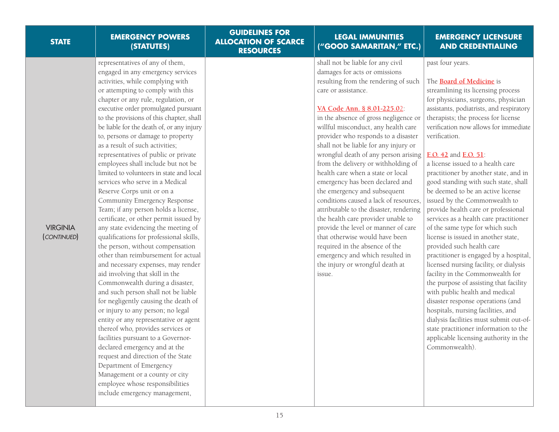| <b>STATE</b>                   | <b>EMERGENCY POWERS</b><br>(STATUTES)                                                                                                                                                                                                                                                                                                                                                                                                                                                                                                                                                                                                                                                                                                                                                                                                                                                                                                                                                                                                                                                                                                                                                                                                                                                                                                                                                                                               | <b>GUIDELINES FOR</b><br><b>ALLOCATION OF SCARCE</b><br><b>RESOURCES</b> | <b>LEGAL IMMUNITIES</b><br>("GOOD SAMARITAN," ETC.)                                                                                                                                                                                                                                                                                                                                                                                                                                                                                                                                                                                                                                                                                                                                                                                           | <b>EMERGENCY LICENSURE</b><br><b>AND CREDENTIALING</b>                                                                                                                                                                                                                                                                                                                                                                                                                                                                                                                                                                                                                                                                                                                                                                                                                                                                                                                                                                                                                                                                  |
|--------------------------------|-------------------------------------------------------------------------------------------------------------------------------------------------------------------------------------------------------------------------------------------------------------------------------------------------------------------------------------------------------------------------------------------------------------------------------------------------------------------------------------------------------------------------------------------------------------------------------------------------------------------------------------------------------------------------------------------------------------------------------------------------------------------------------------------------------------------------------------------------------------------------------------------------------------------------------------------------------------------------------------------------------------------------------------------------------------------------------------------------------------------------------------------------------------------------------------------------------------------------------------------------------------------------------------------------------------------------------------------------------------------------------------------------------------------------------------|--------------------------------------------------------------------------|-----------------------------------------------------------------------------------------------------------------------------------------------------------------------------------------------------------------------------------------------------------------------------------------------------------------------------------------------------------------------------------------------------------------------------------------------------------------------------------------------------------------------------------------------------------------------------------------------------------------------------------------------------------------------------------------------------------------------------------------------------------------------------------------------------------------------------------------------|-------------------------------------------------------------------------------------------------------------------------------------------------------------------------------------------------------------------------------------------------------------------------------------------------------------------------------------------------------------------------------------------------------------------------------------------------------------------------------------------------------------------------------------------------------------------------------------------------------------------------------------------------------------------------------------------------------------------------------------------------------------------------------------------------------------------------------------------------------------------------------------------------------------------------------------------------------------------------------------------------------------------------------------------------------------------------------------------------------------------------|
| <b>VIRGINIA</b><br>(CONTINUED) | representatives of any of them,<br>engaged in any emergency services<br>activities, while complying with<br>or attempting to comply with this<br>chapter or any rule, regulation, or<br>executive order promulgated pursuant<br>to the provisions of this chapter, shall<br>be liable for the death of, or any injury<br>to, persons or damage to property<br>as a result of such activities;<br>representatives of public or private<br>employees shall include but not be<br>limited to volunteers in state and local<br>services who serve in a Medical<br>Reserve Corps unit or on a<br>Community Emergency Response<br>Team; if any person holds a license,<br>certificate, or other permit issued by<br>any state evidencing the meeting of<br>qualifications for professional skills,<br>the person, without compensation<br>other than reimbursement for actual<br>and necessary expenses, may render<br>aid involving that skill in the<br>Commonwealth during a disaster,<br>and such person shall not be liable<br>for negligently causing the death of<br>or injury to any person; no legal<br>entity or any representative or agent<br>thereof who, provides services or<br>facilities pursuant to a Governor-<br>declared emergency and at the<br>request and direction of the State<br>Department of Emergency<br>Management or a county or city<br>employee whose responsibilities<br>include emergency management, |                                                                          | shall not be liable for any civil<br>damages for acts or omissions<br>resulting from the rendering of such<br>care or assistance.<br>VA Code Ann. § 8.01-225.02:<br>in the absence of gross negligence or<br>willful misconduct, any health care<br>provider who responds to a disaster<br>shall not be liable for any injury or<br>wrongful death of any person arising<br>from the delivery or withholding of<br>health care when a state or local<br>emergency has been declared and<br>the emergency and subsequent<br>conditions caused a lack of resources.<br>attributable to the disaster, rendering<br>the health care provider unable to<br>provide the level or manner of care<br>that otherwise would have been<br>required in the absence of the<br>emergency and which resulted in<br>the injury or wrongful death at<br>issue. | past four years.<br>The <b>Board of Medicine</b> is<br>streamlining its licensing process<br>for physicians, surgeons, physician<br>assistants, podiatrists, and respiratory<br>therapists; the process for license<br>verification now allows for immediate<br>verification.<br>E.O. 42 and E.O. 51:<br>a license issued to a health care<br>practitioner by another state, and in<br>good standing with such state, shall<br>be deemed to be an active license<br>issued by the Commonwealth to<br>provide health care or professional<br>services as a health care practitioner<br>of the same type for which such<br>license is issued in another state,<br>provided such health care<br>practitioner is engaged by a hospital,<br>licensed nursing facility, or dialysis<br>facility in the Commonwealth for<br>the purpose of assisting that facility<br>with public health and medical<br>disaster response operations (and<br>hospitals, nursing facilities, and<br>dialysis facilities must submit out-of-<br>state practitioner information to the<br>applicable licensing authority in the<br>Commonwealth). |